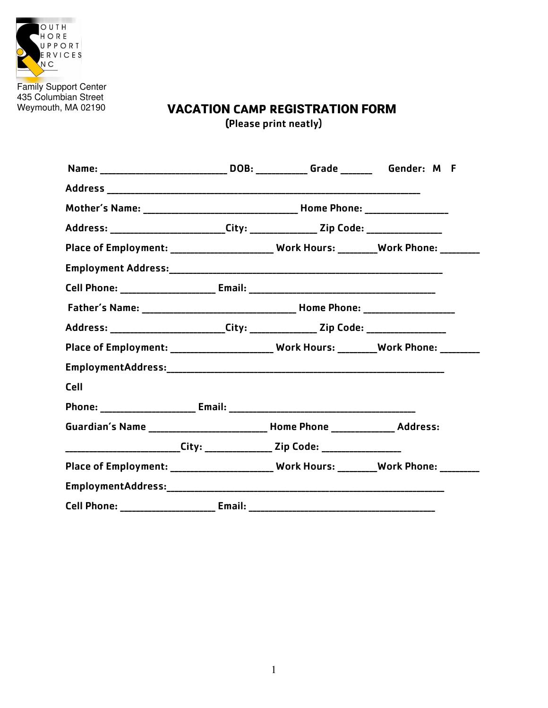

Family Support Center<br>435 Columbian Street Weymouth, MA 02190

# **VACATION CAMP REGISTRATION FORM** (Please print neatly)

|                                                                                           |        | Name: ______________________________DOB: _____________Grade _________Gender: M F |  |
|-------------------------------------------------------------------------------------------|--------|----------------------------------------------------------------------------------|--|
|                                                                                           |        |                                                                                  |  |
|                                                                                           |        |                                                                                  |  |
| Address: ________________________City: ________________Zip Code: _______________          |        |                                                                                  |  |
| Place of Employment: _______________________ Work Hours: _________ Work Phone: ________   |        |                                                                                  |  |
|                                                                                           |        |                                                                                  |  |
| Cell Phone: __________________________ Email: ___________________________________         |        |                                                                                  |  |
|                                                                                           |        |                                                                                  |  |
| Address: _________________________City: ________________ Zip Code: __________________     |        |                                                                                  |  |
| Place of Employment: _________________________ Work Hours: _________Work Phone: ________  |        |                                                                                  |  |
|                                                                                           |        |                                                                                  |  |
| Cell                                                                                      |        |                                                                                  |  |
|                                                                                           |        |                                                                                  |  |
| Guardian's Name ___________________________ Home Phone ________________ Address:          |        |                                                                                  |  |
| __________________________City: ________________ Zip Code: _____________________          |        |                                                                                  |  |
| Place of Employment: _________________________ Work Hours: _________Work Phone: _________ |        |                                                                                  |  |
|                                                                                           |        |                                                                                  |  |
| <b>Cell Phone:</b>                                                                        | Email: |                                                                                  |  |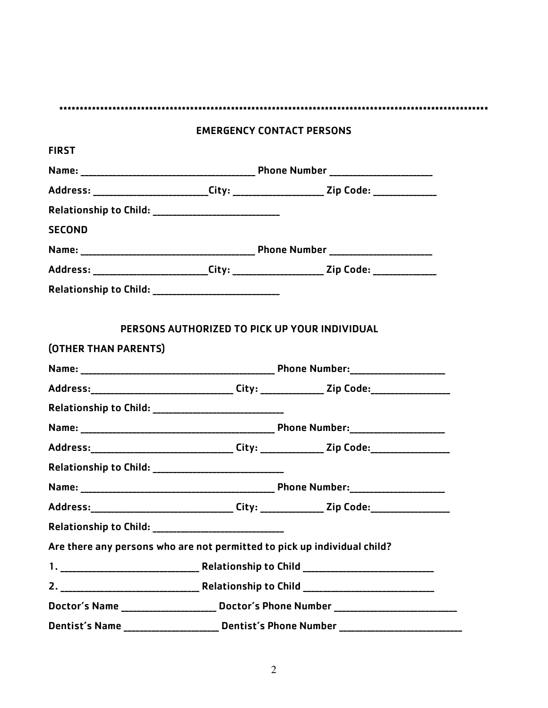|                                                                                                      | <b>EMERGENCY CONTACT PERSONS</b>              |                                                                                         |
|------------------------------------------------------------------------------------------------------|-----------------------------------------------|-----------------------------------------------------------------------------------------|
| <b>FIRST</b>                                                                                         |                                               |                                                                                         |
|                                                                                                      |                                               |                                                                                         |
| Address: ________________________City: _______________________Zip Code: ________________             |                                               |                                                                                         |
|                                                                                                      |                                               |                                                                                         |
| <b>SECOND</b>                                                                                        |                                               |                                                                                         |
|                                                                                                      |                                               |                                                                                         |
| Address: __________________________City: ______________________Zip Code: _______________             |                                               |                                                                                         |
|                                                                                                      |                                               |                                                                                         |
|                                                                                                      | PERSONS AUTHORIZED TO PICK UP YOUR INDIVIDUAL |                                                                                         |
| (OTHER THAN PARENTS)                                                                                 |                                               |                                                                                         |
|                                                                                                      |                                               |                                                                                         |
| Address:________________________________City: _______________Zip Code:______________________________ |                                               |                                                                                         |
|                                                                                                      |                                               |                                                                                         |
|                                                                                                      |                                               |                                                                                         |
| Address: _________________________________City: ________________Zip Code: __________________________ |                                               |                                                                                         |
|                                                                                                      |                                               |                                                                                         |
|                                                                                                      |                                               |                                                                                         |
| Address:__________________________________City: _______________Zip Code:___________________________  |                                               |                                                                                         |
|                                                                                                      |                                               |                                                                                         |
| Are there any persons who are not permitted to pick up individual child?                             |                                               |                                                                                         |
|                                                                                                      |                                               |                                                                                         |
|                                                                                                      |                                               |                                                                                         |
| Doctor's Name ________________________ Doctor's Phone Number ____________________                    |                                               |                                                                                         |
|                                                                                                      |                                               | Dentist's Name _______________________ Dentist's Phone Number _________________________ |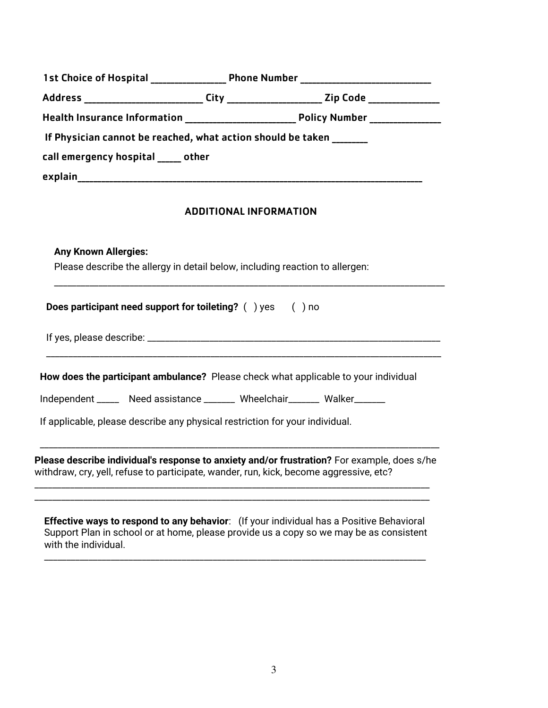|                               |                                                                              |                               | 1st Choice of Hospital ___________________ Phone Number _________________________                                                                                                     |
|-------------------------------|------------------------------------------------------------------------------|-------------------------------|---------------------------------------------------------------------------------------------------------------------------------------------------------------------------------------|
|                               |                                                                              |                               | Address ____________________________City _______________________Zip Code ___________________________                                                                                  |
|                               |                                                                              |                               |                                                                                                                                                                                       |
|                               | If Physician cannot be reached, what action should be taken                  |                               |                                                                                                                                                                                       |
| call emergency hospital other |                                                                              |                               |                                                                                                                                                                                       |
|                               |                                                                              |                               |                                                                                                                                                                                       |
|                               |                                                                              | <b>ADDITIONAL INFORMATION</b> |                                                                                                                                                                                       |
| <b>Any Known Allergies:</b>   | Please describe the allergy in detail below, including reaction to allergen: |                               |                                                                                                                                                                                       |
|                               | Does participant need support for toileting? () yes () no                    |                               |                                                                                                                                                                                       |
|                               |                                                                              |                               |                                                                                                                                                                                       |
|                               |                                                                              |                               | How does the participant ambulance? Please check what applicable to your individual                                                                                                   |
|                               | Independent ______ Need assistance _______ Wheelchair_______ Walker______    |                               |                                                                                                                                                                                       |
|                               | If applicable, please describe any physical restriction for your individual. |                               |                                                                                                                                                                                       |
|                               |                                                                              |                               | Please describe individual's response to anxiety and/or frustration? For example, does s/he<br>withdraw, cry, yell, refuse to participate, wander, run, kick, become aggressive, etc? |
|                               |                                                                              |                               |                                                                                                                                                                                       |

**Effective ways to respond to any behavior**: (If your individual has a Positive Behavioral Support Plan in school or at home, please provide us a copy so we may be as consistent with the individual.

\_\_\_\_\_\_\_\_\_\_\_\_\_\_\_\_\_\_\_\_\_\_\_\_\_\_\_\_\_\_\_\_\_\_\_\_\_\_\_\_\_\_\_\_\_\_\_\_\_\_\_\_\_\_\_\_\_\_\_\_\_\_\_\_\_\_\_\_\_\_\_\_\_\_\_\_\_\_\_\_\_\_\_\_\_\_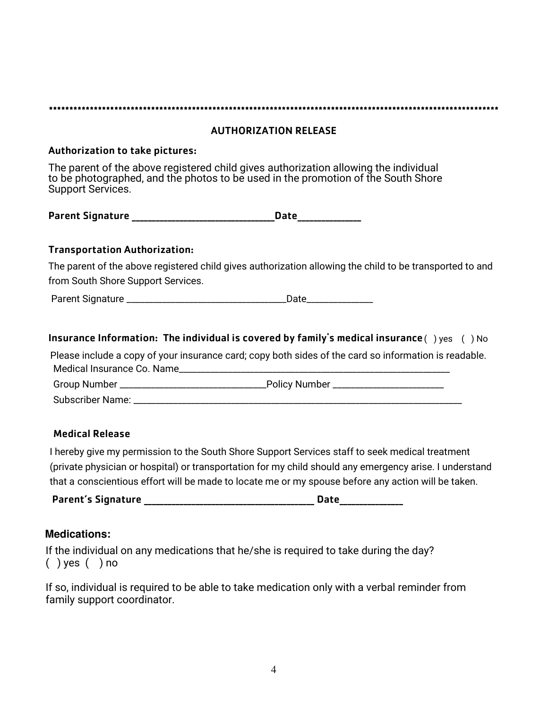|                                        | <b>AUTHORIZATION RELEASE</b>                                                                                                                                              |
|----------------------------------------|---------------------------------------------------------------------------------------------------------------------------------------------------------------------------|
| <b>Authorization to take pictures:</b> |                                                                                                                                                                           |
| <b>Support Services.</b>               | The parent of the above registered child gives authorization allowing the individual<br>to be photographed, and the photos to be used in the promotion of the South Shore |
|                                        |                                                                                                                                                                           |
| <b>Transportation Authorization:</b>   |                                                                                                                                                                           |
| from South Shore Support Services.     | The parent of the above registered child gives authorization allowing the child to be transported to and                                                                  |
|                                        |                                                                                                                                                                           |
|                                        | Insurance Information: The individual is covered by family's medical insurance $( )$ yes $( )$ No                                                                         |
|                                        | Please include a copy of your insurance card; copy both sides of the card so information is readable.                                                                     |
|                                        |                                                                                                                                                                           |
|                                        |                                                                                                                                                                           |
|                                        |                                                                                                                                                                           |

### Medical Release

I hereby give my permission to the South Shore Support Services staff to seek medical treatment (private physician or hospital) or transportation for my child should any emergency arise. I understand that a conscientious effort will be made to locate me or my spouse before any action will be taken.

Parent's Signature \_\_\_\_\_\_\_\_\_\_\_\_\_\_\_\_\_\_\_\_\_\_\_\_\_\_\_\_\_\_\_\_\_\_\_\_\_\_\_\_\_\_\_ Date\_\_\_\_\_\_\_\_\_\_\_\_\_\_\_\_

### **Medications:**

If the individual on any medications that he/she is required to take during the day? ( ) yes ( ) no

If so, individual is required to be able to take medication only with a verbal reminder from family support coordinator.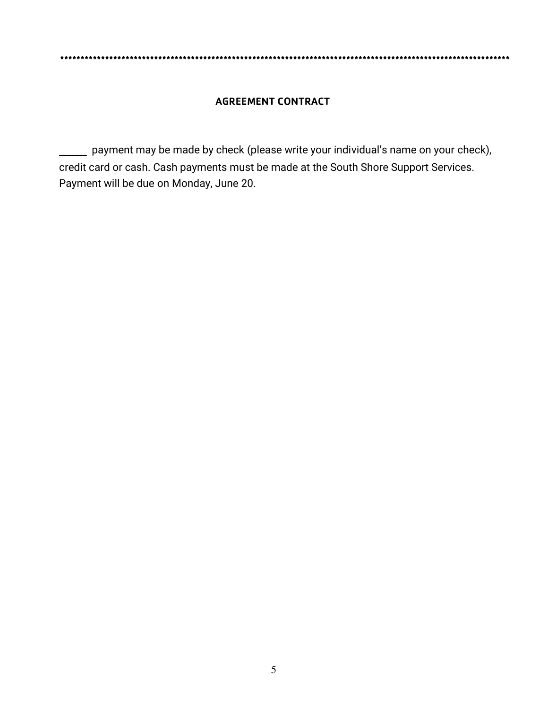#### **AGREEMENT CONTRACT**

\_ payment may be made by check (please write your individual's name on your check), credit card or cash. Cash payments must be made at the South Shore Support Services. Payment will be due on Monday, June 20.